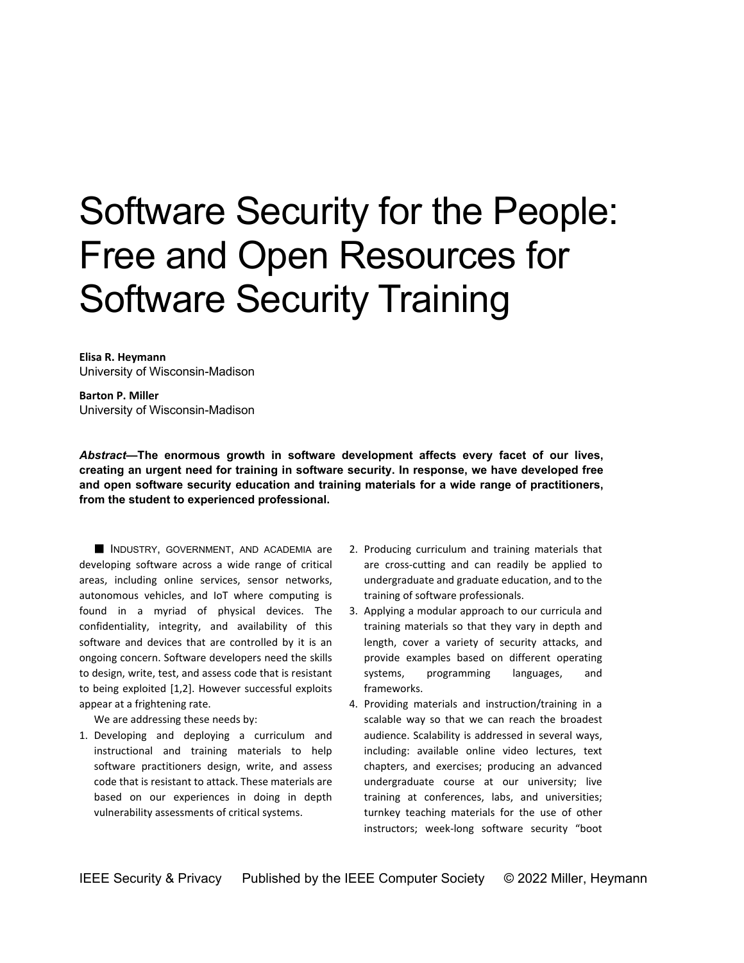# Software Security for the People: Free and Open Resources for Software Security Training

**Elisa R. Heymann**  University of Wisconsin-Madison

**Barton P. Miller**  University of Wisconsin-Madison

*Abstract***—The enormous growth in software development affects every facet of our lives, creating an urgent need for training in software security. In response, we have developed free and open software security education and training materials for a wide range of practitioners, from the student to experienced professional.** 

INDUSTRY, GOVERNMENT, AND ACADEMIA are developing software across a wide range of critical areas, including online services, sensor networks, autonomous vehicles, and IoT where computing is found in a myriad of physical devices. The confidentiality, integrity, and availability of this software and devices that are controlled by it is an ongoing concern. Software developers need the skills to design, write, test, and assess code that is resistant to being exploited [1,2]. However successful exploits appear at a frightening rate.

We are addressing these needs by:

1. Developing and deploying a curriculum and instructional and training materials to help software practitioners design, write, and assess code that is resistant to attack. These materials are based on our experiences in doing in depth vulnerability assessments of critical systems.

- 2. Producing curriculum and training materials that are cross-cutting and can readily be applied to undergraduate and graduate education, and to the training of software professionals.
- 3. Applying a modular approach to our curricula and training materials so that they vary in depth and length, cover a variety of security attacks, and provide examples based on different operating systems, programming languages, and frameworks.
- 4. Providing materials and instruction/training in a scalable way so that we can reach the broadest audience. Scalability is addressed in several ways, including: available online video lectures, text chapters, and exercises; producing an advanced undergraduate course at our university; live training at conferences, labs, and universities; turnkey teaching materials for the use of other instructors; week-long software security "boot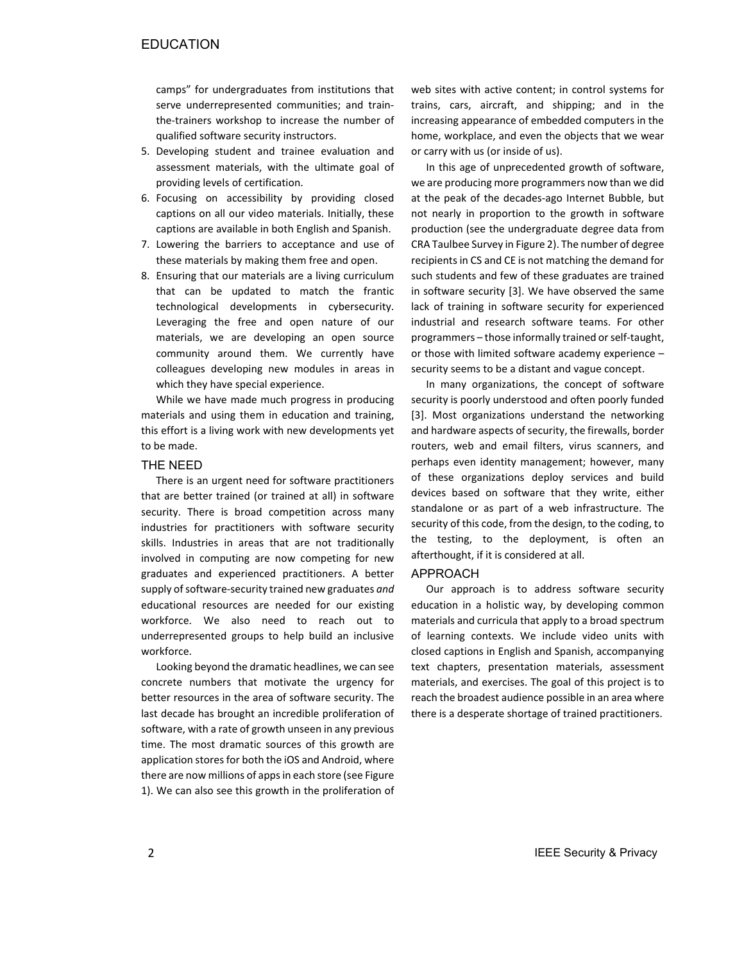camps" for undergraduates from institutions that serve underrepresented communities; and trainthe-trainers workshop to increase the number of qualified software security instructors.

- 5. Developing student and trainee evaluation and assessment materials, with the ultimate goal of providing levels of certification.
- 6. Focusing on accessibility by providing closed captions on all our video materials. Initially, these captions are available in both English and Spanish.
- 7. Lowering the barriers to acceptance and use of these materials by making them free and open.
- 8. Ensuring that our materials are a living curriculum that can be updated to match the frantic technological developments in cybersecurity. Leveraging the free and open nature of our materials, we are developing an open source community around them. We currently have colleagues developing new modules in areas in which they have special experience.

While we have made much progress in producing materials and using them in education and training, this effort is a living work with new developments yet to be made.

## THE NEED

There is an urgent need for software practitioners that are better trained (or trained at all) in software security. There is broad competition across many industries for practitioners with software security skills. Industries in areas that are not traditionally involved in computing are now competing for new graduates and experienced practitioners. A better supply of software-security trained new graduates *and* educational resources are needed for our existing workforce. We also need to reach out to underrepresented groups to help build an inclusive workforce.

Looking beyond the dramatic headlines, we can see concrete numbers that motivate the urgency for better resources in the area of software security. The last decade has brought an incredible proliferation of software, with a rate of growth unseen in any previous time. The most dramatic sources of this growth are application stores for both the iOS and Android, where there are now millions of apps in each store (see Figure 1). We can also see this growth in the proliferation of web sites with active content; in control systems for trains, cars, aircraft, and shipping; and in the increasing appearance of embedded computers in the home, workplace, and even the objects that we wear or carry with us (or inside of us).

In this age of unprecedented growth of software, we are producing more programmers now than we did at the peak of the decades-ago Internet Bubble, but not nearly in proportion to the growth in software production (see the undergraduate degree data from CRA Taulbee Survey in Figure 2). The number of degree recipients in CS and CE is not matching the demand for such students and few of these graduates are trained in software security [3]. We have observed the same lack of training in software security for experienced industrial and research software teams. For other programmers – those informally trained or self-taught, or those with limited software academy experience – security seems to be a distant and vague concept.

In many organizations, the concept of software security is poorly understood and often poorly funded [3]. Most organizations understand the networking and hardware aspects of security, the firewalls, border routers, web and email filters, virus scanners, and perhaps even identity management; however, many of these organizations deploy services and build devices based on software that they write, either standalone or as part of a web infrastructure. The security of this code, from the design, to the coding, to the testing, to the deployment, is often an afterthought, if it is considered at all.

# APPROACH

Our approach is to address software security education in a holistic way, by developing common materials and curricula that apply to a broad spectrum of learning contexts. We include video units with closed captions in English and Spanish, accompanying text chapters, presentation materials, assessment materials, and exercises. The goal of this project is to reach the broadest audience possible in an area where there is a desperate shortage of trained practitioners.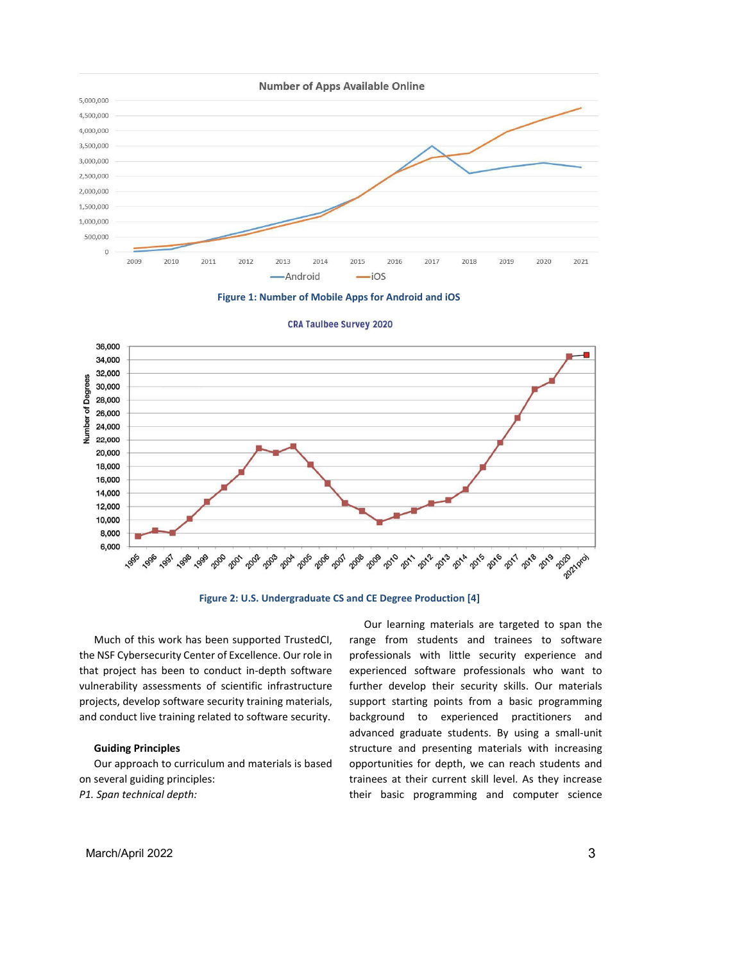







**Figure 2: U.S. Undergraduate CS and CE Degree Production [4]**

Much of this work has been supported TrustedCI, the NSF Cybersecurity Center of Excellence. Our role in that project has been to conduct in-depth software vulnerability assessments of scientific infrastructure projects, develop software security training materials, and conduct live training related to software security.

## **Guiding Principles**

Our approach to curriculum and materials is based on several guiding principles: *P1. Span technical depth:* 

Our learning materials are targeted to span the range from students and trainees to software professionals with little security experience and experienced software professionals who want to further develop their security skills. Our materials support starting points from a basic programming background to experienced practitioners and advanced graduate students. By using a small-unit structure and presenting materials with increasing opportunities for depth, we can reach students and trainees at their current skill level. As they increase their basic programming and computer science

March/April 2022 3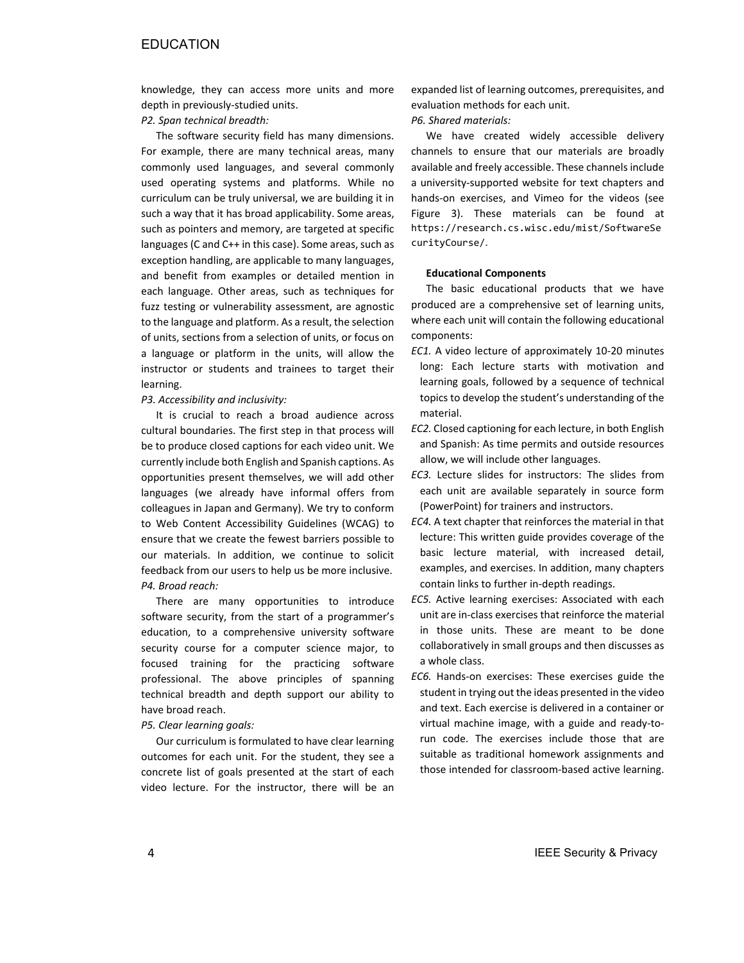# **EDUCATION**

knowledge, they can access more units and more depth in previously-studied units.

## *P2. Span technical breadth:*

The software security field has many dimensions. For example, there are many technical areas, many commonly used languages, and several commonly used operating systems and platforms. While no curriculum can be truly universal, we are building it in such a way that it has broad applicability. Some areas, such as pointers and memory, are targeted at specific languages (C and C++ in this case). Some areas, such as exception handling, are applicable to many languages, and benefit from examples or detailed mention in each language. Other areas, such as techniques for fuzz testing or vulnerability assessment, are agnostic to the language and platform. As a result, the selection of units, sections from a selection of units, or focus on a language or platform in the units, will allow the instructor or students and trainees to target their learning.

## *P3. Accessibility and inclusivity:*

It is crucial to reach a broad audience across cultural boundaries. The first step in that process will be to produce closed captions for each video unit. We currently include both English and Spanish captions. As opportunities present themselves, we will add other languages (we already have informal offers from colleagues in Japan and Germany). We try to conform to Web Content Accessibility Guidelines (WCAG) to ensure that we create the fewest barriers possible to our materials. In addition, we continue to solicit feedback from our users to help us be more inclusive. *P4. Broad reach:* 

There are many opportunities to introduce software security, from the start of a programmer's education, to a comprehensive university software security course for a computer science major, to focused training for the practicing software professional. The above principles of spanning technical breadth and depth support our ability to have broad reach.

## *P5. Clear learning goals:*

Our curriculum is formulated to have clear learning outcomes for each unit. For the student, they see a concrete list of goals presented at the start of each video lecture. For the instructor, there will be an expanded list of learning outcomes, prerequisites, and evaluation methods for each unit.

# *P6. Shared materials:*

We have created widely accessible delivery channels to ensure that our materials are broadly available and freely accessible. These channels include a university-supported website for text chapters and hands-on exercises, and Vimeo for the videos (see Figure 3). These materials can be found at https://research.cs.wisc.edu/mist/SoftwareSe curityCourse/.

## **Educational Components**

The basic educational products that we have produced are a comprehensive set of learning units, where each unit will contain the following educational components:

- *EC1.* A video lecture of approximately 10-20 minutes long: Each lecture starts with motivation and learning goals, followed by a sequence of technical topics to develop the student's understanding of the material.
- *EC2.* Closed captioning for each lecture, in both English and Spanish: As time permits and outside resources allow, we will include other languages.
- *EC3.* Lecture slides for instructors: The slides from each unit are available separately in source form (PowerPoint) for trainers and instructors.
- *EC4.* A text chapter that reinforces the material in that lecture: This written guide provides coverage of the basic lecture material, with increased detail, examples, and exercises. In addition, many chapters contain links to further in-depth readings.
- *EC5.* Active learning exercises: Associated with each unit are in-class exercises that reinforce the material in those units. These are meant to be done collaboratively in small groups and then discusses as a whole class.
- *EC6.* Hands-on exercises: These exercises guide the student in trying out the ideas presented in the video and text. Each exercise is delivered in a container or virtual machine image, with a guide and ready-torun code. The exercises include those that are suitable as traditional homework assignments and those intended for classroom-based active learning.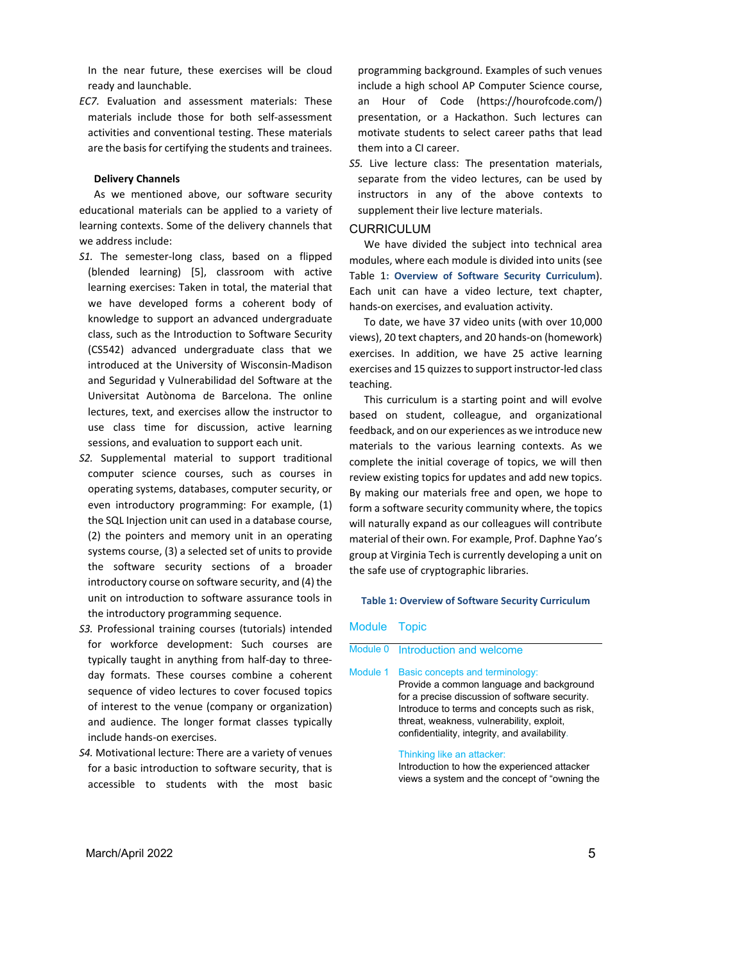In the near future, these exercises will be cloud ready and launchable.

*EC7.* Evaluation and assessment materials: These materials include those for both self-assessment activities and conventional testing. These materials are the basis for certifying the students and trainees.

## **Delivery Channels**

As we mentioned above, our software security educational materials can be applied to a variety of learning contexts. Some of the delivery channels that we address include:

- *S1.* The semester-long class, based on a flipped (blended learning) [5], classroom with active learning exercises: Taken in total, the material that we have developed forms a coherent body of knowledge to support an advanced undergraduate class, such as the Introduction to Software Security (CS542) advanced undergraduate class that we introduced at the University of Wisconsin-Madison and Seguridad y Vulnerabilidad del Software at the Universitat Autònoma de Barcelona. The online lectures, text, and exercises allow the instructor to use class time for discussion, active learning sessions, and evaluation to support each unit.
- *S2.* Supplemental material to support traditional computer science courses, such as courses in operating systems, databases, computer security, or even introductory programming: For example, (1) the SQL Injection unit can used in a database course, (2) the pointers and memory unit in an operating systems course, (3) a selected set of units to provide the software security sections of a broader introductory course on software security, and (4) the unit on introduction to software assurance tools in the introductory programming sequence.
- *S3.* Professional training courses (tutorials) intended for workforce development: Such courses are typically taught in anything from half-day to threeday formats. These courses combine a coherent sequence of video lectures to cover focused topics of interest to the venue (company or organization) and audience. The longer format classes typically include hands-on exercises.
- *S4.* Motivational lecture: There are a variety of venues for a basic introduction to software security, that is accessible to students with the most basic

programming background. Examples of such venues include a high school AP Computer Science course, an Hour of Code (https://hourofcode.com/) presentation, or a Hackathon. Such lectures can motivate students to select career paths that lead them into a CI career.

*S5.* Live lecture class: The presentation materials, separate from the video lectures, can be used by instructors in any of the above contexts to supplement their live lecture materials.

#### CURRICULUM

We have divided the subject into technical area modules, where each module is divided into units (see Table 1**: Overview of Software Security Curriculum**). Each unit can have a video lecture, text chapter, hands-on exercises, and evaluation activity.

To date, we have 37 video units (with over 10,000 views), 20 text chapters, and 20 hands-on (homework) exercises. In addition, we have 25 active learning exercises and 15 quizzes to support instructor-led class teaching.

This curriculum is a starting point and will evolve based on student, colleague, and organizational feedback, and on our experiences as we introduce new materials to the various learning contexts. As we complete the initial coverage of topics, we will then review existing topics for updates and add new topics. By making our materials free and open, we hope to form a software security community where, the topics will naturally expand as our colleagues will contribute material of their own. For example, Prof. Daphne Yao's group at Virginia Tech is currently developing a unit on the safe use of cryptographic libraries.

## **Table 1: Overview of Software Security Curriculum**

#### Module Topic

|  | Module 0 Introduction and welcome |  |  |
|--|-----------------------------------|--|--|
|--|-----------------------------------|--|--|

Module 1 Basic concepts and terminology:

Provide a common language and background for a precise discussion of software security. Introduce to terms and concepts such as risk, threat, weakness, vulnerability, exploit, confidentiality, integrity, and availability.

## Thinking like an attacker:

Introduction to how the experienced attacker views a system and the concept of "owning the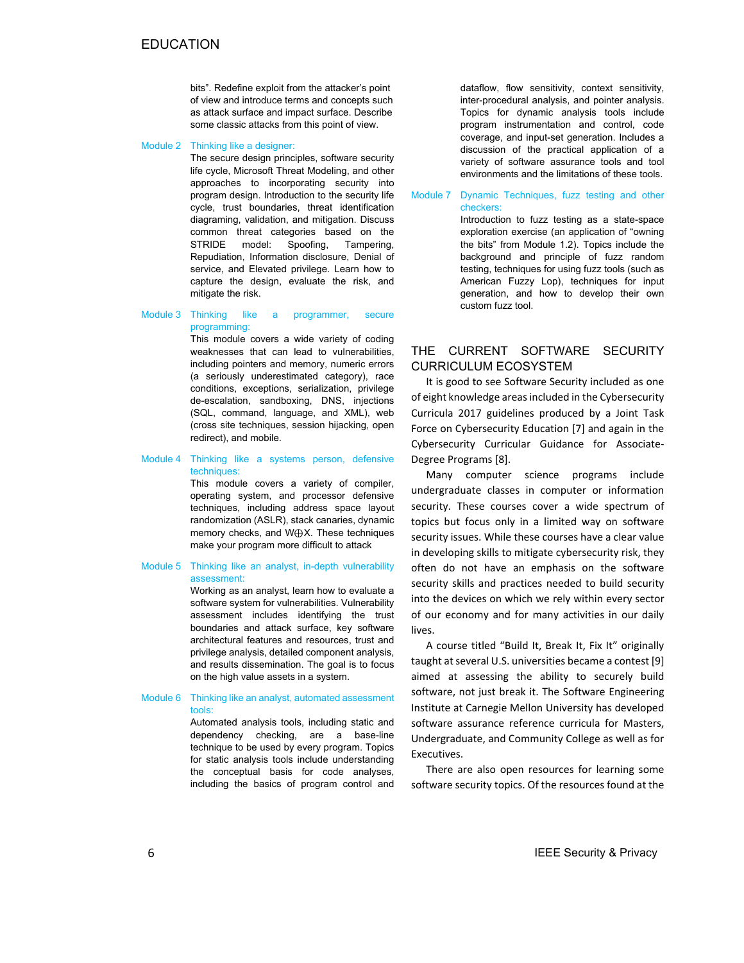bits". Redefine exploit from the attacker's point of view and introduce terms and concepts such as attack surface and impact surface. Describe some classic attacks from this point of view.

Module 2 Thinking like a designer:

The secure design principles, software security life cycle, Microsoft Threat Modeling, and other approaches to incorporating security into program design. Introduction to the security life cycle, trust boundaries, threat identification diagraming, validation, and mitigation. Discuss common threat categories based on the STRIDE model: Spoofing, Tampering, Repudiation, Information disclosure, Denial of service, and Elevated privilege. Learn how to capture the design, evaluate the risk, and mitigate the risk.

#### Module 3 Thinking like a programmer, secure programming:

This module covers a wide variety of coding weaknesses that can lead to vulnerabilities, including pointers and memory, numeric errors (a seriously underestimated category), race conditions, exceptions, serialization, privilege de-escalation, sandboxing, DNS, injections (SQL, command, language, and XML), web (cross site techniques, session hijacking, open redirect), and mobile.

#### Module 4 Thinking like a systems person, defensive techniques:

This module covers a variety of compiler, operating system, and processor defensive techniques, including address space layout randomization (ASLR), stack canaries, dynamic memory checks, and W⊕X. These techniques make your program more difficult to attack

## Module 5 Thinking like an analyst, in-depth vulnerability assessment:

Working as an analyst, learn how to evaluate a software system for vulnerabilities. Vulnerability assessment includes identifying the trust boundaries and attack surface, key software architectural features and resources, trust and privilege analysis, detailed component analysis, and results dissemination. The goal is to focus on the high value assets in a system.

#### Module 6 Thinking like an analyst, automated assessment tools:

Automated analysis tools, including static and dependency checking, are a base-line technique to be used by every program. Topics for static analysis tools include understanding the conceptual basis for code analyses, including the basics of program control and dataflow, flow sensitivity, context sensitivity, inter-procedural analysis, and pointer analysis. Topics for dynamic analysis tools include program instrumentation and control, code coverage, and input-set generation. Includes a discussion of the practical application of a variety of software assurance tools and tool environments and the limitations of these tools.

Module 7 Dynamic Techniques, fuzz testing and other checkers:

> Introduction to fuzz testing as a state-space exploration exercise (an application of "owning the bits" from Module 1.2). Topics include the background and principle of fuzz random testing, techniques for using fuzz tools (such as American Fuzzy Lop), techniques for input generation, and how to develop their own custom fuzz tool.

# THE CURRENT SOFTWARE SECURITY CURRICULUM ECOSYSTEM

It is good to see Software Security included as one of eight knowledge areas included in the Cybersecurity Curricula 2017 guidelines produced by a Joint Task Force on Cybersecurity Education [7] and again in the Cybersecurity Curricular Guidance for Associate-Degree Programs [8].

Many computer science programs include undergraduate classes in computer or information security. These courses cover a wide spectrum of topics but focus only in a limited way on software security issues. While these courses have a clear value in developing skills to mitigate cybersecurity risk, they often do not have an emphasis on the software security skills and practices needed to build security into the devices on which we rely within every sector of our economy and for many activities in our daily lives.

A course titled "Build It, Break It, Fix It" originally taught at several U.S. universities became a contest [9] aimed at assessing the ability to securely build software, not just break it. The Software Engineering Institute at Carnegie Mellon University has developed software assurance reference curricula for Masters, Undergraduate, and Community College as well as for Executives.

There are also open resources for learning some software security topics. Of the resources found at the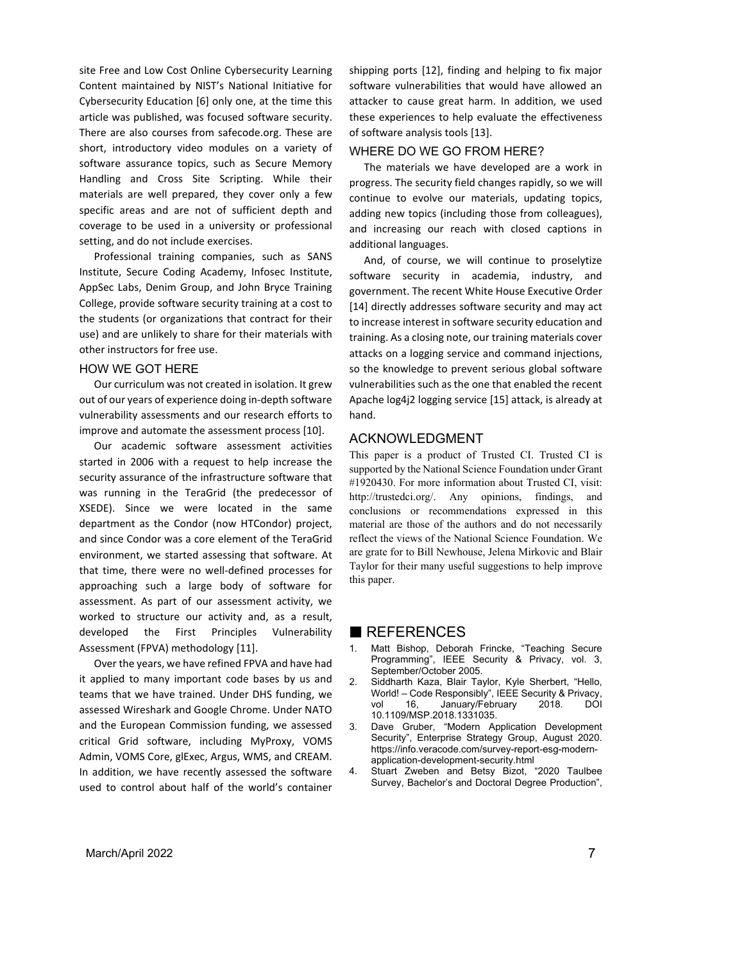site Free and Low Cost Online Cybersecurity Learning Content maintained by NIST's National Initiative for Cybersecurity Education [6] only one, at the time this article was published, was focused software security. There are also courses from safecode.org. These are short, introductory video modules on a variety of software assurance topics, such as Secure Memory Handling and Cross Site Scripting. While their materials are well prepared, they cover only a few specific areas and are not of sufficient depth and coverage to be used in a university or professional setting, and do not include exercises.

Professional training companies, such as SANS Institute, Secure Coding Academy, Infosec Institute, AppSec Labs, Denim Group, and John Bryce Training College, provide software security training at a cost to the students (or organizations that contract for their use) and are unlikely to share for their materials with other instructors for free use.

# HOW WE GOT HERE

Our curriculum was not created in isolation. It grew out of our years of experience doing in-depth software vulnerability assessments and our research efforts to improve and automate the assessment process [10].

Our academic software assessment activities started in 2006 with a request to help increase the security assurance of the infrastructure software that was running in the TeraGrid (the predecessor of XSEDE). Since we were located in the same department as the Condor (now HTCondor) project, and since Condor was a core element of the TeraGrid environment, we started assessing that software. At that time, there were no well-defined processes for approaching such a large body of software for assessment. As part of our assessment activity, we worked to structure our activity and, as a result, developed the First Principles Vulnerability Assessment (FPVA) methodology [11].

Over the years, we have refined FPVA and have had it applied to many important code bases by us and teams that we have trained. Under DHS funding, we assessed Wireshark and Google Chrome. Under NATO and the European Commission funding, we assessed critical Grid software, including MyProxy, VOMS Admin, VOMS Core, glExec, Argus, WMS, and CREAM. In addition, we have recently assessed the software used to control about half of the world's container

shipping ports [12], finding and helping to fix major software vulnerabilities that would have allowed an attacker to cause great harm. In addition, we used these experiences to help evaluate the effectiveness of software analysis tools [13].

## WHERE DO WE GO FROM HERE?

The materials we have developed are a work in progress. The security field changes rapidly, so we will continue to evolve our materials, updating topics, adding new topics (including those from colleagues), and increasing our reach with closed captions in additional languages.

And, of course, we will continue to proselytize software security in academia, industry, and government. The recent White House Executive Order [14] directly addresses software security and may act to increase interest in software security education and training. As a closing note, our training materials cover attacks on a logging service and command injections, so the knowledge to prevent serious global software vulnerabilities such as the one that enabled the recent Apache log4j2 logging service [15] attack, is already at hand.

## ACKNOWLEDGMENT

This paper is a product of Trusted CI. Trusted CI is supported by the National Science Foundation under Grant #1920430. For more information about Trusted CI, visit: http://trustedci.org/. Any opinions, findings, and conclusions or recommendations expressed in this material are those of the authors and do not necessarily reflect the views of the National Science Foundation. We are grate for to Bill Newhouse, Jelena Mirkovic and Blair Taylor for their many useful suggestions to help improve this paper.

# REFERENCES

- 1. Matt Bishop, Deborah Frincke, "Teaching Secure Programming", IEEE Security & Privacy, vol. 3, September/October 2005.
- 2. Siddharth Kaza, Blair Taylor, Kyle Sherbert, "Hello, World! – Code Responsibly", IEEE Security & Privacy, vol 16, January/February 2018. DOI 10.1109/MSP.2018.1331035.
- 3. Dave Gruber, "Modern Application Development Security", Enterprise Strategy Group, August 2020. https://info.veracode.com/survey-report-esg-modernapplication-development-security.html
- 4. Stuart Zweben and Betsy Bizot, "2020 Taulbee Survey, Bachelor's and Doctoral Degree Production",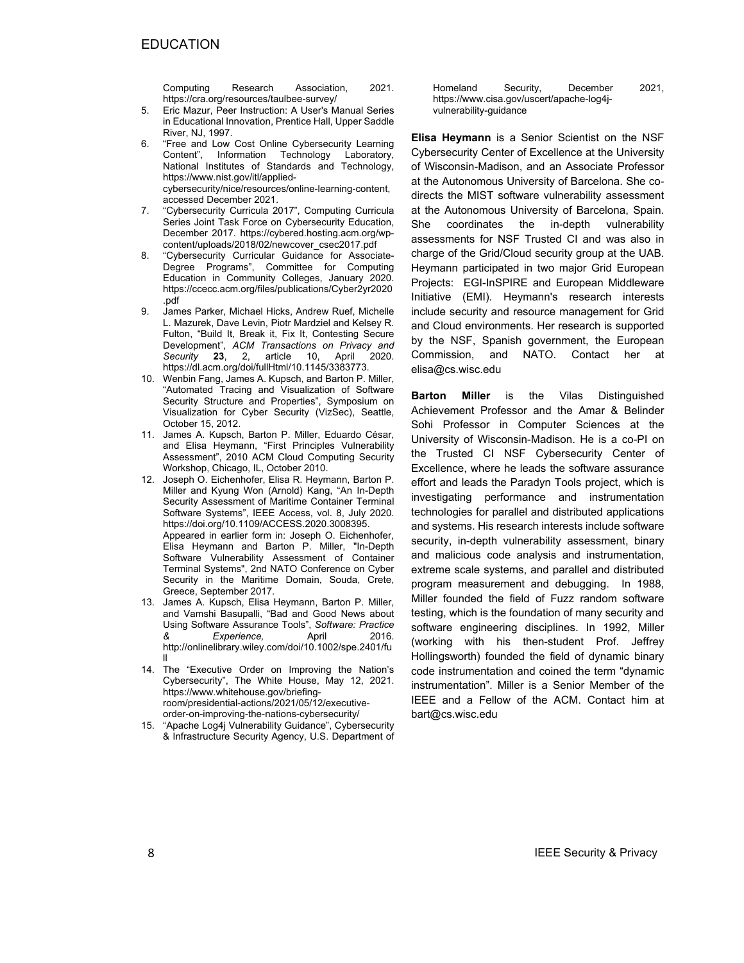Computing Research Association, 2021. https://cra.org/resources/taulbee-survey/

- 5. Eric Mazur, Peer Instruction: A User's Manual Series in Educational Innovation, Prentice Hall, Upper Saddle River, N.I. 1997.
- 6. "Free and Low Cost Online Cybersecurity Learning Content", Information Technology Laboratory, National Institutes of Standards and Technology, https://www.nist.gov/itl/appliedcybersecurity/nice/resources/online-learning-content, accessed December 2021.
- 7. "Cybersecurity Curricula 2017", Computing Curricula Series Joint Task Force on Cybersecurity Education, December 2017. https://cybered.hosting.acm.org/wpcontent/uploads/2018/02/newcover\_csec2017.pdf
- 8. "Cybersecurity Curricular Guidance for Associate-Degree Programs", Committee for Computing Education in Community Colleges, January 2020. https://ccecc.acm.org/files/publications/Cyber2yr2020 .pdf
- 9. James Parker, Michael Hicks, Andrew Ruef, Michelle L. Mazurek, Dave Levin, Piotr Mardziel and Kelsey R. Fulton, "Build It, Break it, Fix It, Contesting Secure Development", *ACM Transactions on Privacy and Security* **23**, 2, article 10, April 2020. https://dl.acm.org/doi/fullHtml/10.1145/3383773.
- 10. Wenbin Fang, James A. Kupsch, and Barton P. Miller, "Automated Tracing and Visualization of Software Security Structure and Properties", Symposium on Visualization for Cyber Security (VizSec), Seattle, October 15, 2012.
- 11. James A. Kupsch, Barton P. Miller, Eduardo César, and Elisa Heymann, "First Principles Vulnerability Assessment", 2010 ACM Cloud Computing Security Workshop, Chicago, IL, October 2010.
- 12. Joseph O. Eichenhofer, Elisa R. Heymann, Barton P. Miller and Kyung Won (Arnold) Kang, "An In-Depth Security Assessment of Maritime Container Terminal Software Systems", IEEE Access, vol. 8, July 2020. https://doi.org/10.1109/ACCESS.2020.3008395. Appeared in earlier form in: Joseph O. Eichenhofer, Elisa Heymann and Barton P. Miller, "In-Depth Software Vulnerability Assessment of Container Terminal Systems", 2nd NATO Conference on Cyber Security in the Maritime Domain, Souda, Crete, Greece, September 2017.
- 13. James A. Kupsch, Elisa Heymann, Barton P. Miller, and Vamshi Basupalli, "Bad and Good News about Using Software Assurance Tools", *Software: Practice & Experience,* April 2016. http://onlinelibrary.wiley.com/doi/10.1002/spe.2401/fu ll
- 14. The "Executive Order on Improving the Nation's Cybersecurity", The White House, May 12, 2021. https://www.whitehouse.gov/briefingroom/presidential-actions/2021/05/12/executiveorder-on-improving-the-nations-cybersecurity/
- 15. "Apache Log4j Vulnerability Guidance", Cybersecurity & Infrastructure Security Agency, U.S. Department of

Homeland Security, December 2021, https://www.cisa.gov/uscert/apache-log4jvulnerability-guidance

**Elisa Heymann** is a Senior Scientist on the NSF Cybersecurity Center of Excellence at the University of Wisconsin-Madison, and an Associate Professor at the Autonomous University of Barcelona. She codirects the MIST software vulnerability assessment at the Autonomous University of Barcelona, Spain. She coordinates the in-depth vulnerability assessments for NSF Trusted CI and was also in charge of the Grid/Cloud security group at the UAB. Heymann participated in two major Grid European Projects: EGI-InSPIRE and European Middleware Initiative (EMI). Heymann's research interests include security and resource management for Grid and Cloud environments. Her research is supported by the NSF, Spanish government, the European Commission, and NATO. Contact her at elisa@cs.wisc.edu

**Barton Miller** is the Vilas Distinguished Achievement Professor and the Amar & Belinder Sohi Professor in Computer Sciences at the University of Wisconsin-Madison. He is a co-PI on the Trusted CI NSF Cybersecurity Center of Excellence, where he leads the software assurance effort and leads the Paradyn Tools project, which is investigating performance and instrumentation technologies for parallel and distributed applications and systems. His research interests include software security, in-depth vulnerability assessment, binary and malicious code analysis and instrumentation, extreme scale systems, and parallel and distributed program measurement and debugging. In 1988, Miller founded the field of Fuzz random software testing, which is the foundation of many security and software engineering disciplines. In 1992, Miller (working with his then-student Prof. Jeffrey Hollingsworth) founded the field of dynamic binary code instrumentation and coined the term "dynamic instrumentation". Miller is a Senior Member of the IEEE and a Fellow of the ACM. Contact him at bart@cs.wisc.edu